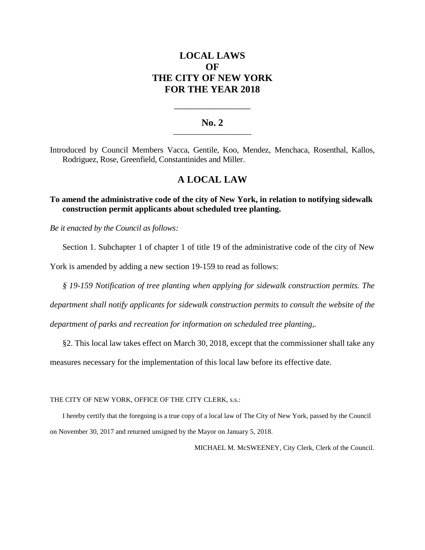# **LOCAL LAWS OF THE CITY OF NEW YORK FOR THE YEAR 2018**

### **No. 2 \_\_\_\_\_\_\_\_\_\_\_\_\_\_\_\_\_\_\_\_\_\_\_\_\_**

**\_\_\_\_\_\_\_\_\_\_\_\_\_\_\_\_\_\_\_\_\_\_**

Introduced by Council Members Vacca, Gentile, Koo, Mendez, Menchaca, Rosenthal, Kallos, Rodriguez, Rose, Greenfield, Constantinides and Miller.

## **A LOCAL LAW**

### **To amend the administrative code of the city of New York, in relation to notifying sidewalk construction permit applicants about scheduled tree planting.**

*Be it enacted by the Council as follows:*

Section 1. Subchapter 1 of chapter 1 of title 19 of the administrative code of the city of New

York is amended by adding a new section 19-159 to read as follows:

*§ 19-159 Notification of tree planting when applying for sidewalk construction permits. The* 

*department shall notify applicants for sidewalk construction permits to consult the website of the* 

*department of parks and recreation for information on scheduled tree planting,.* 

§2. This local law takes effect on March 30, 2018, except that the commissioner shall take any

measures necessary for the implementation of this local law before its effective date.

THE CITY OF NEW YORK, OFFICE OF THE CITY CLERK, s.s.:

I hereby certify that the foregoing is a true copy of a local law of The City of New York, passed by the Council on November 30, 2017 and returned unsigned by the Mayor on January 5, 2018.

MICHAEL M. McSWEENEY, City Clerk, Clerk of the Council.